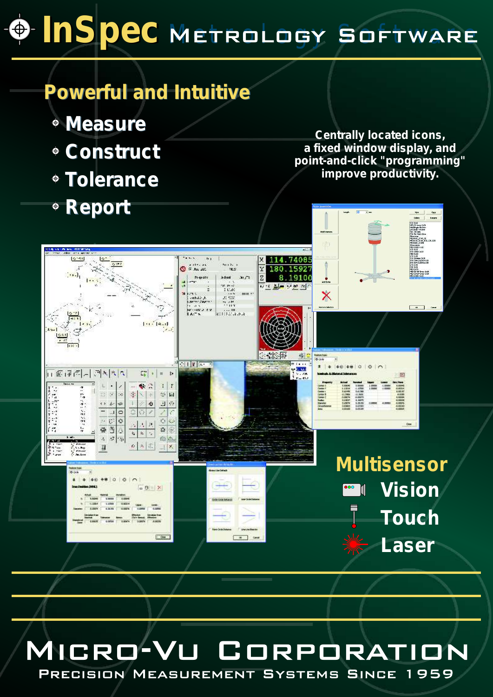# **InSpec** Metrology Software

## *Powerful and Intuitive Powerful and Intuitive*

- *Measure Measure*
- *Construct Construct*  $\dot{\bullet}$
- *Tolerance Tolerance*  $\bullet$
- *Report Report*  $\bullet$

*Centrally located icons, a fixed window display, and point-and-click "programming" improve productivity.*

 $cor$ 



#### MICRO-VL **CORPORAT** n N

PRECISION MEASUREMENT SYSTEMS SINCE 1959